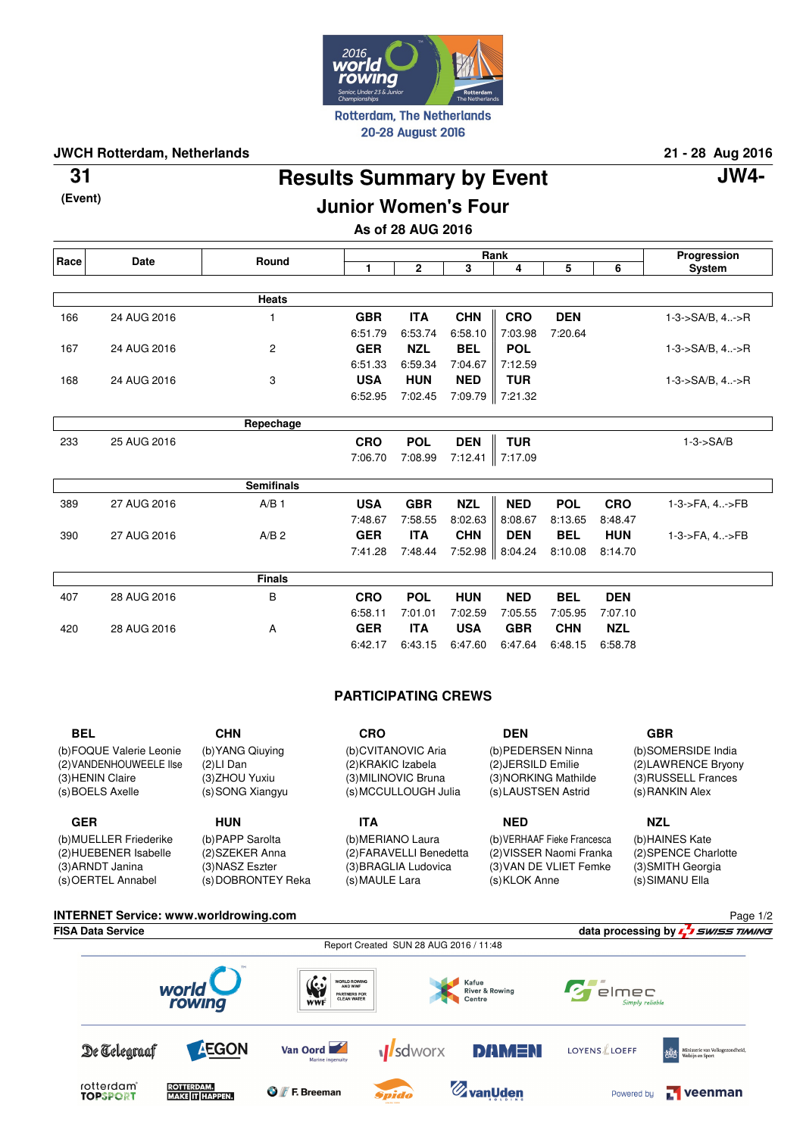

**JWCH Rotterdam, Netherlands 21 - 28 Aug 2016**

**(Event)**

# **Results Summary by Event 31 JW4-**

Page 1/2

# **Junior Women's Four**

**As of 28 AUG 2016**

| Race | Date        | Round             | Rank       |            |            |                   |            | Progression |                             |
|------|-------------|-------------------|------------|------------|------------|-------------------|------------|-------------|-----------------------------|
|      |             |                   | 1          | 2          | 3          | 4                 | 5          | 6           | System                      |
|      |             |                   |            |            |            |                   |            |             |                             |
|      |             | Heats             |            |            |            |                   |            |             |                             |
| 166  | 24 AUG 2016 |                   | <b>GBR</b> | <b>ITA</b> | <b>CHN</b> | <b>CRO</b>        | <b>DEN</b> |             | $1 - 3 - S A/B$ , $4 - S R$ |
|      |             |                   | 6:51.79    | 6:53.74    | 6:58.10    | 7:03.98           | 7:20.64    |             |                             |
| 167  | 24 AUG 2016 | $\overline{c}$    | <b>GER</b> | <b>NZL</b> | <b>BEL</b> | <b>POL</b>        |            |             | $1 - 3 - S A/B$ , $4 - S R$ |
|      |             |                   | 6:51.33    | 6:59.34    | 7:04.67    | 7:12.59           |            |             |                             |
| 168  | 24 AUG 2016 | 3                 | <b>USA</b> | <b>HUN</b> | <b>NED</b> | <b>TUR</b>        |            |             | 1-3->SA/B, 4->R             |
|      |             |                   | 6:52.95    | 7:02.45    | 7:09.79    | 7:21.32           |            |             |                             |
|      |             |                   |            |            |            |                   |            |             |                             |
|      |             | Repechage         |            |            |            |                   |            |             |                             |
| 233  | 25 AUG 2016 |                   | <b>CRO</b> | <b>POL</b> | <b>DEN</b> | <b>TUR</b>        |            |             | $1-3 S A/B$                 |
|      |             |                   | 7:06.70    | 7:08.99    |            | 7:12.41   7:17.09 |            |             |                             |
|      |             |                   |            |            |            |                   |            |             |                             |
|      |             | <b>Semifinals</b> |            |            |            |                   |            |             |                             |
| 389  | 27 AUG 2016 | A/B <sub>1</sub>  | <b>USA</b> | <b>GBR</b> | <b>NZL</b> | <b>NED</b>        | <b>POL</b> | <b>CRO</b>  | 1-3->FA, 4->FB              |
|      |             |                   | 7:48.67    | 7:58.55    | 8:02.63    | 8:08.67           | 8:13.65    | 8:48.47     |                             |
| 390  | 27 AUG 2016 | A/B <sub>2</sub>  | <b>GER</b> | <b>ITA</b> | <b>CHN</b> | <b>DEN</b>        | <b>BEL</b> | <b>HUN</b>  | 1-3->FA, 4->FB              |
|      |             |                   | 7:41.28    | 7:48.44    | 7:52.98    | 8:04.24           | 8:10.08    | 8:14.70     |                             |
|      |             |                   |            |            |            |                   |            |             |                             |
|      |             | <b>Finals</b>     |            |            |            |                   |            |             |                             |
| 407  | 28 AUG 2016 | B                 | <b>CRO</b> | <b>POL</b> | <b>HUN</b> | <b>NED</b>        | <b>BEL</b> | <b>DEN</b>  |                             |
|      |             |                   | 6:58.11    | 7:01.01    | 7:02.59    | 7:05.55           | 7:05.95    | 7:07.10     |                             |
| 420  | 28 AUG 2016 | A                 | <b>GER</b> | <b>ITA</b> | <b>USA</b> | <b>GBR</b>        | <b>CHN</b> | <b>NZL</b>  |                             |
|      |             |                   | 6:42.17    | 6:43.15    | 6:47.60    | 6:47.64           | 6:48.15    | 6:58.78     |                             |

# **PARTICIPATING CREWS**

| <b>BEL</b>                                                                                  | <b>CHN</b>                                                             | CRO                                                                                     | <b>DEN</b>                                                                              | <b>GBR</b>                                                                           |
|---------------------------------------------------------------------------------------------|------------------------------------------------------------------------|-----------------------------------------------------------------------------------------|-----------------------------------------------------------------------------------------|--------------------------------------------------------------------------------------|
| (b) FOQUE Valerie Leonie<br>(2) VANDENHOUWEELE Ilse<br>(3) HENIN Claire<br>(s) BOELS Axelle | (b) YANG Qiuying<br>$(2)$ LI Dan<br>(3) ZHOU Yuxiu<br>(s) SONG Xiangyu | (b)CVITANOVIC Aria<br>(2) KRAKIC Izabela<br>(3) MILINOVIC Bruna<br>(s) MCCULLOUGH Julia | (b) PEDERSEN Ninna<br>(2) JERSILD Emilie<br>(3) NORKING Mathilde<br>(s) LAUSTSEN Astrid | (b)SOMERSIDE India<br>(2) LAW RENCE Bryony<br>(3) RUSSELL Frances<br>(s) RANKIN Alex |
|                                                                                             |                                                                        |                                                                                         |                                                                                         |                                                                                      |
| <b>GER</b>                                                                                  | <b>HUN</b>                                                             | <b>ITA</b>                                                                              | <b>NED</b>                                                                              | <b>NZL</b>                                                                           |

#### **INTERNET Service: www.worldrowing.com FISA Data Service data processing by**  $\frac{1}{2}$  *swiss TIMING*

|                                                                                          | $rac{1}{2}$<br>Report Created SUN 28 AUG 2016 / 11:48                |                                              |                                                                     |  |  |  |  |
|------------------------------------------------------------------------------------------|----------------------------------------------------------------------|----------------------------------------------|---------------------------------------------------------------------|--|--|--|--|
| world<br>rowing                                                                          | <b>WORLD ROWING</b><br>WWF<br>AND WWF<br>PARTNERS FOR<br>CLEAN WATER | Kafue<br><b>River &amp; Rowing</b><br>Centre | $Cr$ elmec<br>Simply reliable                                       |  |  |  |  |
| <b>AEGON</b><br>De Telegraaf                                                             | Van Oord<br>Marine ingenuity                                         | <b>DAMEN</b><br><b>M</b> sdworx              | LOYENS LOEFF<br>Ministerie van Volksgezondheid,<br>Welzijn en Sport |  |  |  |  |
| rotterdam <sup>®</sup><br><b>ROTTERDAM.</b><br><b>MAKE IT HAPPEN.</b><br><b>TOPSPORT</b> | <b>O</b> <i>f</i> F. Breeman                                         | $\mathscr{D}_{\mathbf{z}}$ vanUden<br>Spido  | $\Gamma$ veenman<br>Powered by                                      |  |  |  |  |